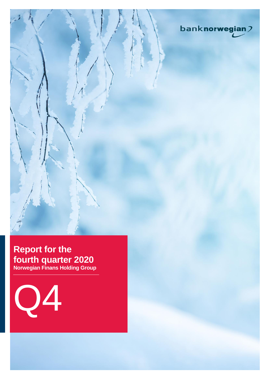

## **Report for the fourth quarter 2020 Norwegian Finans Holding Group**

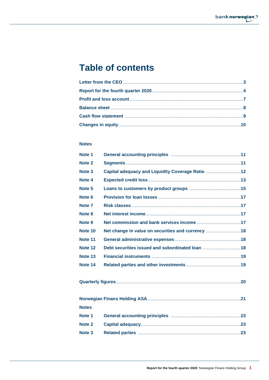# **Table of contents**

## **Notes**

| Note <sub>1</sub> |                                                   |  |
|-------------------|---------------------------------------------------|--|
| Note 2            |                                                   |  |
| Note <sub>3</sub> | Capital adequacy and Liquidity Coverage Ratio 12  |  |
| Note 4            |                                                   |  |
| Note <sub>5</sub> |                                                   |  |
| Note 6            |                                                   |  |
| Note <sub>7</sub> |                                                   |  |
| Note <sub>8</sub> |                                                   |  |
| Note 9            |                                                   |  |
| Note 10           | Net change in value on securities and currency 18 |  |
| Note 11           |                                                   |  |
| Note 12           | Debt securities issued and subordinated loan 18   |  |
| Note 13           |                                                   |  |
| Note 14           |                                                   |  |
|                   |                                                   |  |
|                   |                                                   |  |
| <b>Notes</b>      |                                                   |  |
| Note 1            |                                                   |  |
| Note 2            |                                                   |  |
| Note <sub>3</sub> |                                                   |  |
|                   |                                                   |  |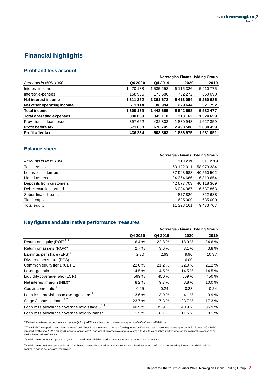

## **Financial highlights**

## **Profit and loss account**

|                                 |           | Norwegian Finans Holding Group |           |               |  |
|---------------------------------|-----------|--------------------------------|-----------|---------------|--|
| Amounts in NOK 1000             | Q4 2020   | Q4 2019                        | 2020      | 2019          |  |
| Interest income                 | 1470188   | 1 535 258                      | 6 115 326 | 5910775       |  |
| Interest expenses               | 158 935   | 173586                         | 702 272   | 650 090       |  |
| Net interest income             | 1 311 252 | 1 361 672                      | 5413054   | 5260685       |  |
| Net other operating income      | $-11114$  | 86994                          | 229 644   | 321 792       |  |
| <b>Total income</b>             | 1 300 139 | 1448665                        | 5642698   | 5 5 8 2 4 7 7 |  |
| <b>Total operating expenses</b> | 330839    | 345 118                        | 1 313 162 | 1 324 659     |  |
| Provision for loan losses       | 397 662   | 432 803                        | 1830948   | 1627359       |  |
| <b>Profit before tax</b>        | 571 638   | 670745                         | 2498588   | 2630459       |  |
| <b>Profit after tax</b>         | 436 234   | 503863                         | 1886975   | 1981051       |  |

## **Balance sheet**

| Norwegian Finans Holding Group |            |  |
|--------------------------------|------------|--|
| 31.12.20                       | 31.12.19   |  |
| 63 192 011                     | 58 073 384 |  |
| 37 943 688                     | 40 560 502 |  |
| 24 364 666                     | 16813654   |  |
| 42 677 703                     | 40 118 369 |  |
| 6 0 34 3 8 7                   | 6 537 863  |  |
| 877820                         | 822 688    |  |
| 635 000                        | 635 000    |  |
| 11 328 161                     | 9473707    |  |
|                                |            |  |

## **Key figures and alternative performance measures**

|                                                          |         |         | Norwegian Finans Holding Group |        |  |
|----------------------------------------------------------|---------|---------|--------------------------------|--------|--|
|                                                          | Q4 2020 | Q4 2019 | 2020                           | 2019   |  |
| Return on equity (ROE) <sup>13</sup>                     | 16.4 %  | 22.8%   | 18.9%                          | 24.6%  |  |
| Return on assets (ROA) <sup>1</sup>                      | 2.7%    | 3.6%    | 3.1%                           | 3.8%   |  |
| Earnings per share (EPS) <sup>4</sup>                    | 2.30    | 2.63    | 9.90                           | 10.37  |  |
| Dividend per share (DPS)                                 | -       | ۰       | 6.00                           |        |  |
| Common equity tier 1 (CET 1)                             | 22.0 %  | 21.2%   | 22.0%                          | 21.2%  |  |
| Leverage ratio                                           | 14.5 %  | 14.5 %  | 14.5 %                         | 14.5 % |  |
| Liquidity coverage ratio (LCR)                           | 569 %   | 450 %   | 569 %                          | 450 %  |  |
| Net interest margin (NIM) <sup>1</sup>                   | 8.2%    | 9.7%    | 8.8%                           | 10.0%  |  |
| Cost/income ratio <sup>1</sup>                           | 0.25    | 0.24    | 0.23                           | 0.24   |  |
| Loan loss provisions to average loans <sup>1</sup>       | 3.6%    | 3.9%    | 4.1 %                          | 3.9%   |  |
| Stage 3 loans to loans $12$                              | 23.7 %  | 17.3 %  | 23.7 %                         | 17.3 % |  |
| Loan loss allowance coverage ratio stage $3^{12}$        | 40.9%   | 35.9%   | 40.9%                          | 35.9%  |  |
| Loan loss allowance coverage ratio to loans <sup>1</sup> | 11.5 %  | 8.1%    | 11.5 %                         | 8.1%   |  |

 $1)$  Defined as alternative performance measure (APM). APM s are described on banknorwegian.no/OmOss/InvestorRelations.

<sup>2)</sup> The APM s "Non-performing loans to loans" and "Loan loss allowance to non-performing loans", which has been in use since reporting under IAS 39, was in Q2 2020<br>replaced by the new APM s "Stage 3 loans to loans" and "L the implementation of IFRS9.

<sup>3)</sup> Definition for ROE was updated in Q3 2020 based on established market practice. Previous periods are recalculated.

4 ) Definition for EPS was updated in Q3 2020 based on establised market practice. EPS is calculated based on profit after tax excluding interest on additional Tier 1 capital. Previous periods are recalculated.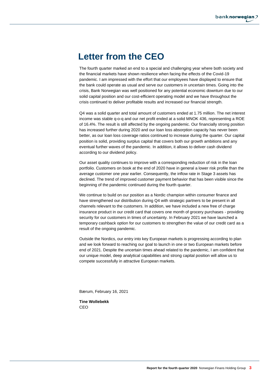# **Letter from the CEO**

The fourth quarter marked an end to a special and challenging year where both society and the financial markets have shown resilience when facing the effects of the Covid-19 pandemic. I am impressed with the effort that our employees have displayed to ensure that the bank could operate as usual and serve our customers in uncertain times. Going into the crisis, Bank Norwegian was well positioned for any potential economic downturn due to our solid capital position and our cost-efficient operating model and we have throughout the crisis continued to deliver profitable results and increased our financial strength.

Q4 was a solid quarter and total amount of customers ended at 1.75 million. The net interest income was stable q-o-q and our net profit ended at a solid MNOK 436, representing a ROE of 16.4%. The result is still affected by the ongoing pandemic. Our financially strong position has increased further during 2020 and our loan loss absorption capacity has never been better, as our loan loss coverage ratios continued to increase during the quarter. Our capital position is solid, providing surplus capital that covers both our growth ambitions and any eventual further waves of the pandemic. In addition, it allows to deliver cash dividend according to our dividend policy.

Our asset quality continues to improve with a corresponding reduction of risk in the loan portfolio. Customers on book at the end of 2020 have in general a lower risk profile than the average customer one year earlier. Consequently, the inflow rate in Stage 3 assets has declined. The trend of improved customer payment behavior that has been visible since the beginning of the pandemic continued during the fourth quarter.

We continue to build on our position as a Nordic champion within consumer finance and have strengthened our distribution during Q4 with strategic partners to be present in all channels relevant to the customers. In addition, we have included a new free of charge insurance product in our credit card that covers one month of grocery purchases - providing security for our customers in times of uncertainty. In February 2021 we have launched a temporary cashback option for our customers to strengthen the value of our credit card as a result of the ongoing pandemic.

Outside the Nordics, our entry into key European markets is progressing according to plan and we look forward to reaching our goal to launch in one or two European markets before end of 2021. Despite the uncertain times ahead related to the pandemic, I am confident that our unique model, deep analytical capabilities and strong capital position will allow us to compete successfully in attractive European markets.

Bærum, February 16, 2021

**Tine Wollebekk** CEO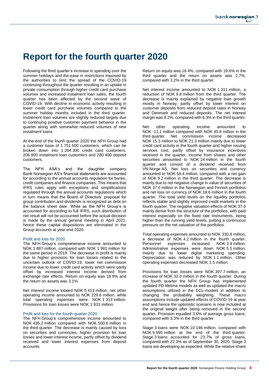# **Report for the fourth quarter 2020**

Following the third quarter's increase in spending over the summer holidays and the ease in restrictions imposed by the authorities to limit the spread of the COVID-19 continuing throughout the quarter resulting in an uptake in private consumption through higher credit card purchase volumes and increased instalment loan sales, the fourth quarter has been affected by the second wave of COVID-19. With decline in economic activity resulting in lower credit card purchase volumes compared to the summer holiday months included in the third quarter. Instalment loan volumes are slightly reduced largely due to continuing positive customer payment behavior in the quarter along with somewhat reduced volumes of new instalment loans.

At the end of the fourth quarter 2020 the NFH Group had a customer base of 1 751 500 customers, which can be broken down into 1 264 300 credit card customers, 206 800 instalment loan customers and 280 400 deposit customers.

The NFH ASA's and the daughter company Bank Norwegian AS's financial statements are accounted for according to the annual accounts regulation for banks, credit companies and finance companies. This means that IFRS rules apply with exceptions and simplifications regulated through the annual accounts regulations which in turn means that the Board of Directors' proposal for group contribution and dividends is recognized as debt on the balance sheet date. While as the NFH Group's is accounted for according to full IFRS, such distribution of net result will not be accounted before the actual decision is made by the annual general meeting in April 2021, hence these capital dispositions are eliminated in the Group accounts at year end 2020.

#### Profit and loss for 2020

The NFH Group's comprehensive income amounted to NOK 1 887 million, compared with NOK 1 981 million for the same period in 2019. The decrease in profit is mainly due to higher provision for loan losses related to the uncertain outlook of COVID-19, lower net commission income due to lower credit card activity which were partly offset by increased interest income derived from exchange rate effects. Return on equity was 18.9% and the return on assets was 3.1%.

Net interest income totaled NOK 5 413 million, net other operating income amounted to NOK 229.6 million, while total operating expenses were NOK 1 313 million. Provisions for loan losses were NOK 1 831 million.

#### Profit and loss for the fourth quarter 2020

The NFH Group's comprehensive income amounted to NOK 436.2 million compared with NOK 500.6 million in the third quarter. The decrease is mainly caused by loss on securities and currencies, higher provision for loan losses and lower interest income, partly offset by dividend received and lower interest expenses from deposit accounts.

Return on equity was 16.4%, compared with 19.6% in the third quarter and the return on assets was 2.7%, compared with 3.2% in the third quarter.

Net interest income amounted to NOK 1 311 million, a reduction of NOK 9.8 million from the third quarter. The decrease is mainly explained by negative loan growth mostly in Norway, partly offset by lower interest on customer deposits from reduced deposit rates in Norway and Denmark and reduced deposits. The net interest margin was 8.2%, compared with 8.3% in the third quarter.

Net other operating income amounted to NOK -11,1 million compared with NOK 45.8 million in the third quarter. Net commission income decreased NOK 15.3 million to NOK 21.3 million mainly due to lower credit card activity in the fourth quarter and higher issuing services cost, partly offset by insurance incentives received in the quarter. Income from shares and other securities amounted to NOK 24 million in the fourth quarter and consist of a dividend received from VN Norge AS. Net loss on securities and currency amounted to NOK 56.4 million, compared with a net gain of NOK 9.2 million in the third quarter. The decrease is mainly due to net negative change in value of securities of NOK 37.0 million in the Norwegian and Finnish portfolios and net loss on currency of NOK 18.6 million in the fourth quarter. The total yield levels on the liquidity portfolios reflects stable and slightly improved credit markets in the fourth quarter. The negative valuation effects of NOK 37.0 mainly derive from the structure of the portfolios, with paid interest especially on the fixed rate instruments, being higher than the running yield levels, putting a continuous pressure on the net valuation of the portfolios.

Total operating expenses amounted to NOK 330.8 million, a decrease of NOK 4.2 million in the fourth quarter.<br>Personnel expenses increased NOK 3.9 million. NOK 3.9 million. Administrative expenses were down NOK 5.5 million, mainly due to lower digital marketing spending. Depreciation was reduced by NOK 1.1 million. Other operating expenses decreased NOK 1.5 million.

Provisions for loan losses were NOK 397.7 million, an increase of NOK 32.0 million in the fourth quarter. During the fourth quarter the NFH Group has implemented updated PD lifetime models as well as updated the macro assumptions utilized in the ECL-models in addition to changing the probability weighting. These macro assumptions include updated effects of COVID-19 at year end and hence the optimistic scenario is now included at the original weight after being removed in the second quarter. Provision equalled 3.6% of average gross loans, compared with 3.3% in the third quarter.

Stage 3 loans were NOK 10 146 million, compared with NOK 9 995 million at the end of the third quarter. Stage 3 loans accounted for 23.7% of gross loans, compared with 22.3% as of September 30, 2020. Stage 3 loans are developing as expected. While the relative share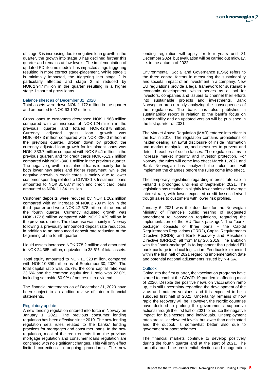of stage 3 is increasing due to negative loan growth in the quarter, the growth into stage 3 has declined further this quarter and remains at low levels. The implementation of updated PD lifetime models has impacted stage triggering resulting in more correct stage-placement. While stage 3 is minimally impacted, the triggering into stage 2 is particularly affected and stage 2 is reduced by NOK 2 947 million in the quarter resulting in a higher stage 1 share of gross loans.

#### Balance sheet as of December 31, 2020

Total assets were down NOK 1 172 million in the quarter and amounted to NOK 63 192 million.

Gross loans to customers decreased NOK 1 968 million compared with an increase of NOK 124 million in the previous quarter and totaled NOK 42 878 million. Currency adjusted gross loan growth was NOK -847.3 million compared with NOK -286.0 million in the previous quarter. Broken down by product the currency adjusted loan growth for instalment loans was NOK -333.7 million compared with NOK 54.1 million in the previous quarter, and for credit cards NOK -513.7 million compared with NOK -340.1 million in the previous quarter. The negative growth in instalment loans is mainly due to both lower new sales and higher repayment, while the negative growth in credit cards is mainly due to lower customer spending related to COVID-19. Instalment loans amounted to NOK 31 037 million and credit card loans amounted to NOK 11 841 million.

Customer deposits were reduced by NOK 1 202 million compared with an increase of NOK 2 789 million in the third quarter and were NOK 42 678 million at the end of the fourth quarter. Currency adjusted growth was NOK -172.6 million compared with NOK 2 439 million in the previous quarter. The decrease was mainly in Norway following a previously announced deposit rate reduction, in addition to an announced deposit rate reduction at the beginning of the fourth quarter.

Liquid assets increased NOK 778.2 million and amounted to NOK 24 365 million, equivalent to 38.6% of total assets.

Total equity amounted to NOK 11 328 million, compared with NOK 10 899 million as of September 30, 2020. The total capital ratio was 25.7%, the core capital ratio was 23.6% and the common equity tier 1 ratio was 22.0%, including set aside 60.9% of net result to dividend.

The financial statements as of December 31, 2020 have been subject to an auditor review of interim financial statements.

#### Regulatory update

A new lending regulation entered into force in Norway on January 1, 2021. The previous consumer lending regulation has been effective since 2019. The new lending regulation sets rules related to the banks' lending practices for mortgages and consumer loans. In the new regulation, most of the requirements from the previous mortgage regulation and consumer loans regulation are continued with no significant changes. This will only effect limited corrections in ongoing procedures. The new lending regulation will apply for four years until 31 December 2024, but evaluation will be carried out midway, i.e. in the autumn of 2022.

Environmental, Social and Governance (ESG) refers to the three central factors in measuring the sustainability and societal impact of an investment in a company. New EU regulations provide a legal framework for sustainable economic development, which serves as a tool for investors, companies and issuers to channel their efforts into sustainable projects and investments. Bank Norwegian are currently analyzing the consequences of the regulations. The bank has also published a sustainability report in relation to the bank's focus on sustainability and an updated version will be published in the first quarter of 2021.

The Market Abuse Regulation (MAR) entered into effect in the EU in 2016. The regulation contains prohibitions of insider dealing, unlawful disclosure of inside information and market manipulation, and measures to prevent and detect breaches of such clauses. The regulation aims to increase market integrity and investor protection. For Norway, the rules will come into effect March 1, 2021 and Bank Norwegian has analyzed the rules and will implement the changes before the rules come into effect.

The temporary legislation regarding interest rate cap in Finland is prolonged until end of September 2021. The legislation has resulted in slightly lower sales and average interest rate, with lower expected credit losses derived trough sales to customers with lower risk profiles.

January 6, 2021 was the due date for the Norwegian Ministry of Finance's public hearing of suggested amendment to Norwegian regulations, regarding the implementation of the EU "bank-package". The "bankpackage" consists of three parts – the Capital Requirements Regulations (CRR2), Capital Requirements Directive (CRD5) and Bank Recovery and Resolution Directive (BRRD2), all from May 20, 2019. The ambition with the "bank-package" is to implement the updated EU bank-package into local legislation. Feedback is expected within the first half of 2021 regarding implementation date and potential national adjustments issued by N-FSA.

#### **Outlook**

Going into the first quarter, the vaccination programs have started to combat the COVID-19 pandemic affecting most of 2020. Despite the positive news on vaccination ramp up, it is still uncertainty regarding the development of the virus and mutated versions, and it is expected to be a subdued first half of 2021. Uncertainty remains of how rapid the recovery will be. However, the Nordic countries have decided to prolong the governments' supportive actions through the first half of 2021 to reduce the negative impact for businesses and individuals. Unemployment rates are still at elevated levels, but lower than anticipated and the outlook is somewhat better also due to government support schemes.

The financial markets continue to develop positively during the fourth quarter and at the start of 2021. The turmoil around the presidential election and inauguration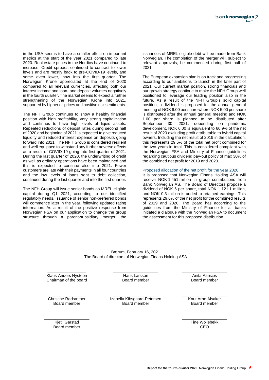in the USA seems to have a smaller effect on important metrics at the start of the year 2021 compared to late 2020. Real estate prices in the Nordics have continued to increase. Credit spreads continued to contract to lower levels and are mostly back to pre-COVID-19 levels, and some even lower, now into the first quarter. The Norwegian Krone appreciated at the end of 2020 compared to all relevant currencies, affecting both our interest income and loan- and deposit volumes negatively in the fourth quarter. The market seems to expect a further strengthening of the Norwegian Krone into 2021, supported by higher oil prices and positive risk sentiments.

The NFH Group continues to show a healthy financial position with high profitability, very strong capitalization and continues to have high levels of liquid assets. Repeated reductions of deposit rates during second half of 2020 and beginning of 2021 is expected to give reduced liquidity and reduced interest expense on deposits going forward into 2021. The NFH Group is considered resilient and well equipped to withstand any further adverse effects as a result of COVID-19 going into first quarter of 2021. During the last quarter of 2020, the underwriting of credit as well as ordinary operations have been maintained and this is expected to continue also into 2021. Fewer customers are late with their payments in all four countries and the low levels of loans sent to debt collection, continued during the last quarter and into the first quarter.

The NFH Group will issue senior bonds as MREL eligible capital during Q1 2021, according to our identified regulatory needs. Issuance of senior non-preferred bonds will commence later in the year, following updated rating information. As a result of the positive response from Norwegian FSA on our application to change the group structure through a parent-subsidiary merger, the issuances of MREL eligible debt will be made from Bank Norwegian. The completion of the merger will, subject to relevant approvals, be commenced during first half of 2021.

The European expansion plan is on track and progressing according to our ambitions to launch in the later part of 2021. Our current market position, strong financials and our growth strategy continue to make the NFH Group well positioned to leverage our leading position also in the future. As a result of the NFH Group's solid capital position, a dividend is proposed for the annual general meeting of NOK 6.00 per share where NOK 5.00 per share is distributed after the annual general meeting and NOK 1.00 per share is planned to be distributed after September 30, 2021, depending on pandemic development. NOK 6.00 is equivalent to 60.9% of the net result of 2020 excluding profit attributable to hybrid capital owners. Including the net result of 2019 in the calculation, this represents 29.6% of the total net profit combined for the two years in total. This is considered compliant with the Norwegian FSA and Ministry of Finance guidelines regarding cautious dividend pay-out policy of max 30% of the combined net profit for 2019 and 2020.

#### Proposed allocation of the net profit for the year 2020

It is proposed that Norwegian Finans Holding ASA will receive NOK 1 451 million in group contributions from Bank Norwegian AS. The Board of Directors propose a dividend of NOK 6 per share, total NOK 1 121,1 million, and NOK 0.3 million is added to retained earnings. This represents 29.6% of the net profit for the combined results of 2019 and 2020. The Board has according to the guidelines from the Ministry of Finance for all banks initiated a dialogue with the Norwegian FSA to document the assessment for this proposed distribution.

Bærum, February 16, 2021 The Board of directors of Norwegian Finans Holding ASA

\_\_\_\_\_\_\_\_\_\_\_\_\_\_\_\_\_ Klaus-Anders Nysteen Chairman of the board \_\_\_\_\_\_\_\_\_\_\_\_\_\_\_\_\_\_\_\_ Hans Larsson Board member

\_\_\_\_\_\_\_\_\_\_\_\_\_\_\_\_\_\_\_\_

\_\_\_\_\_\_\_\_\_\_\_\_\_\_\_\_\_ Christine Rødsæther Board member

\_\_\_\_\_\_\_\_\_\_\_\_\_\_\_\_\_\_\_\_ Kjetil Garstad Board member

Izabella Kibsgaard-Petersen Board member

\_\_\_\_\_\_\_\_\_\_\_\_\_\_\_\_\_\_\_\_ Anita Aarnæs Board member

\_\_\_\_\_\_\_\_\_\_\_\_\_\_\_\_\_\_\_\_ Knut Arne Alsaker Board member

\_\_\_\_\_\_\_\_\_\_\_\_\_\_\_\_\_\_\_\_ Tine Wollebekk CEO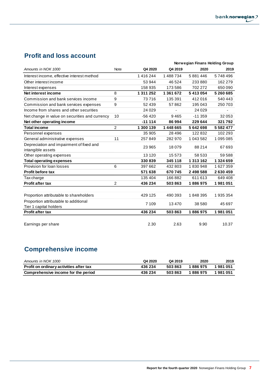## **Profit and loss account**

|                                                |                |           |           | Norwegian Finans Holding Group |               |
|------------------------------------------------|----------------|-----------|-----------|--------------------------------|---------------|
| Amounts in NOK 1000                            | <b>Note</b>    | Q4 2020   | Q4 2019   | 2020                           | 2019          |
| Interest income, effective interest method     |                | 1416244   | 1488734   | 5881446                        | 5748496       |
| Other interest income                          |                | 53 944    | 46 524    | 233880                         | 162 279       |
| Interest expenses                              |                | 158 935   | 173 586   | 702 272                        | 650 090       |
| Net interest income                            | 8              | 1 311 252 | 1 361 672 | 5413054                        | 5 260 685     |
| Commission and bank services income            | 9              | 73716     | 135 391   | 412016                         | 540 443       |
| Commission and bank services expenses          | 9              | 52 439    | 57862     | 195 043                        | 250 703       |
| Income from shares and other securities        |                | 24 0 29   |           | 24 0 29                        |               |
| Net change in value on securities and currency | 10             | $-56420$  | 9465      | $-11359$                       | 32 053        |
| Net other operating income                     |                | $-11114$  | 86994     | 229 644                        | 321 792       |
| <b>Total income</b>                            | $\overline{2}$ | 1 300 139 | 1 448 665 | 5642698                        | 5 5 8 2 4 7 7 |
| Personnel expenses                             |                | 35 905    | 28 4 9 6  | 122832                         | 102 293       |
| General administrative expenses                | 11             | 257849    | 282 970   | 1 043 582                      | 1095085       |
| Depreciation and impairment of fixed and       |                | 23 965    | 18079     | 88 214                         | 67 693        |
| intangible assets                              |                |           |           |                                |               |
| Other operating expenses                       |                | 13 1 20   | 15 5 73   | 58 533                         | 59 588        |
| <b>Total operating expenses</b>                |                | 330839    | 345 118   | 1 313 162                      | 1324659       |
| Provision for loan losses                      | 6              | 397 662   | 432 803   | 1830948                        | 1627359       |
| <b>Profit before tax</b>                       |                | 571 638   | 670745    | 2 498 588                      | 2630459       |
| Tax charge                                     |                | 135 404   | 166882    | 611 613                        | 649 408       |
| <b>Profit after tax</b>                        | 2              | 436 234   | 503863    | 1886975                        | 1981051       |
|                                                |                |           |           |                                |               |
| Proportion attributable to shareholders        |                | 429 125   | 490 393   | 1848395                        | 1935354       |
| Proportion attributable to additional          |                | 7 109     | 13470     | 38 580                         | 45 697        |
| Tier 1 capital holders                         |                |           |           |                                |               |
| <b>Profit after tax</b>                        |                | 436 234   | 503863    | 1886975                        | 1981051       |
|                                                |                |           |           |                                |               |
| Earnings per share                             |                | 2.30      | 2.63      | 9.90                           | 10.37         |

## **Comprehensive income**

| Amounts in NOK 1000                     | Q4 2020 | Q4 2019 | 2020    | 2019      |
|-----------------------------------------|---------|---------|---------|-----------|
| Profit on ordinary activities after tax | 436 234 | 503863  | 1886975 | 1 981 051 |
| Comprehensive income for the period     | 436 234 | 503863  | 1886975 | 1981051   |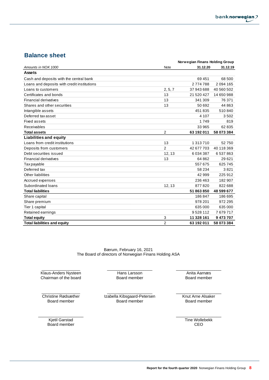## **Balance sheet**

|                                             | Norwegian Finans Holding Group |            |            |  |
|---------------------------------------------|--------------------------------|------------|------------|--|
| Amounts in NOK 1000                         | Note                           | 31.12.20   | 31.12.19   |  |
| <b>Assets</b>                               |                                |            |            |  |
| Cash and deposits with the central bank     |                                | 69 451     | 68 500     |  |
| Loans and deposits with credit institutions |                                | 2774788    | 2094 165   |  |
| Loans to customers                          | 2, 5, 7                        | 37 943 688 | 40 560 502 |  |
| Certificates and bonds                      | 13                             | 21 520 427 | 14 650 988 |  |
| <b>Financial derivatives</b>                | 13                             | 341 309    | 76 371     |  |
| Shares and other securities                 | 13                             | 50 692     | 44 863     |  |
| Intangible assets                           |                                | 451835     | 510840     |  |
| Deferred tax asset                          |                                | 4 1 0 7    | 3502       |  |
| <b>Fixed assets</b>                         |                                | 1749       | 819        |  |
| Receivables                                 |                                | 33 965     | 62 835     |  |
| <b>Total assets</b>                         | $\overline{2}$                 | 63 192 011 | 58 073 384 |  |
| <b>Liabilities and equity</b>               |                                |            |            |  |
| Loans from credit institutions              | 13                             | 1 313 710  | 52750      |  |
| Deposits from customers                     | $\overline{2}$                 | 42 677 703 | 40 118 369 |  |
| Debt securities issued                      | 12, 13                         | 6034387    | 6537863    |  |
| <b>Financial derivatives</b>                | 13                             | 64 862     | 29 6 21    |  |
| <b>Tax payable</b>                          |                                | 557 675    | 625 745    |  |
| Deferred tax                                |                                | 58 234     | 3821       |  |
| Other liabilities                           |                                | 42 999     | 225 912    |  |
| Accrued expenses                            |                                | 236 463    | 182 907    |  |
| Subordinated loans                          | 12, 13                         | 877820     | 822 688    |  |
| <b>Total liabilities</b>                    |                                | 51863850   | 48 599 677 |  |
| Share capital                               |                                | 186847     | 186 695    |  |
| Share premium                               |                                | 978 201    | 972 295    |  |
| Tier 1 capital                              |                                | 635 000    | 635 000    |  |
| Retained earnings                           |                                | 9528112    | 7679717    |  |
| <b>Total equity</b>                         | 3                              | 11 328 161 | 9473707    |  |
| <b>Total liabilities and equity</b>         | $\overline{2}$                 | 63 192 011 | 58 073 384 |  |

Bærum, February 16, 2021 The Board of directors of Norwegian Finans Holding ASA

\_\_\_\_\_\_\_\_\_\_\_\_\_\_\_\_\_ Klaus-Anders Nysteen Chairman of the board \_\_\_\_\_\_\_\_\_\_\_\_\_\_\_\_\_\_\_\_ Hans Larsson Board member

\_\_\_\_\_\_\_\_\_\_\_\_\_\_\_\_\_\_\_\_ Anita Aarnæs Board member

\_\_\_\_\_\_\_\_\_\_\_\_\_\_\_\_\_ Christine Rødsæther Board member

\_\_\_\_\_\_\_\_\_\_\_\_\_\_\_\_\_\_\_\_ Izabella Kibsgaard-Petersen Board member

\_\_\_\_\_\_\_\_\_\_\_\_\_\_\_\_\_\_\_\_ Knut Arne Alsaker Board member

\_\_\_\_\_\_\_\_\_\_\_\_\_\_\_\_\_\_\_\_ Kjetil Garstad Board member

\_\_\_\_\_\_\_\_\_\_\_\_\_\_\_\_\_\_\_\_ Tine Wollebekk CEO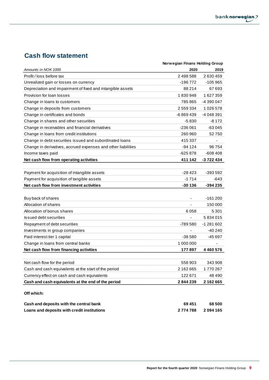## **Cash flow statement**

|                                                               | Norwegian Finans Holding Group |               |
|---------------------------------------------------------------|--------------------------------|---------------|
| Amounts in NOK 1000                                           | 2020                           | 2019          |
| Profit / loss before tax                                      | 2 498 588                      | 2 630 459     |
| Unrealized gain or losses on currency                         | -196 772                       | -105 965      |
| Depreciation and impairment of fixed and intangible assets    | 88 214                         | 67 693        |
| Provision for loan losses                                     | 1830948                        | 1627359       |
| Change in loans to customers                                  | 785 865                        | -4 390 047    |
| Change in deposits from customers                             | 2 559 334                      | 1 0 26 5 78   |
| Change in certificates and bonds                              | -6 869 439                     | -4 048 391    |
| Change in shares and other securities                         | $-5830$                        | -8 172        |
| Change in receivables and financial derivatives               | $-236061$                      | $-63045$      |
| Change in loans from credit institutions                      | 260 960                        | 52 750        |
| Change in debt securities issued and subordinated loans       | 415 337                        |               |
| Change in derivatives, accrued expenses and other liabilities | -94 124                        | 96 754        |
| Income taxes paid                                             | $-625878$                      | $-608408$     |
| Net cash flow from operating activities                       | 411 142                        | -3 722 434    |
|                                                               |                                |               |
| Payment for acquisition of intangible assets                  | $-28423$                       | $-393592$     |
| Payment for acquisition of tangible assets                    | $-1714$                        | -643          |
| Net cash flow from investment activities                      | $-30136$                       | $-394235$     |
|                                                               |                                |               |
| Buy back of shares                                            |                                | $-161200$     |
| Allocation of shares                                          |                                | 150 000       |
| Allocation of bonus shares                                    | 6058                           | 5 3 0 1       |
| <b>Issued debt securities</b>                                 |                                | 5834015       |
| Repayment of debt securities                                  | -789 580                       | $-1281602$    |
| Investments in group companies                                |                                | -40 240       |
| Paid interest tier 1 capital                                  | $-38580$                       | -45 697       |
| Change in loans from central banks                            | 1 000 000                      |               |
| Net cash flow from financing activities                       | 177897                         | 4 4 6 0 5 7 6 |
|                                                               |                                |               |
| Net cash flow for the period                                  | 558 903                        | 343 908       |
| Cash and cash equivalents at the start of the period          | 2 162 665                      | 1770267       |
| Currency effect on cash and cash equivalents                  | 122 671                        | 48 490        |
| Cash and cash equivalents at the end of the period            | 2844239                        | 2 162 665     |
|                                                               |                                |               |
| Off which:                                                    |                                |               |
| Cash and deposits with the central bank                       | 69 451                         | 68 500        |
| Loans and deposits with credit institutions                   | 2774788                        | 2094165       |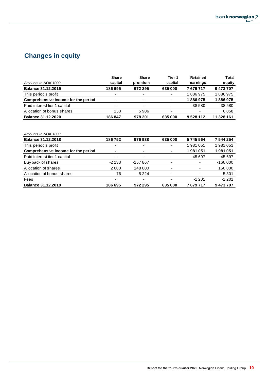## **Changes in equity**

|                                     | <b>Share</b>             | <b>Share</b>             | Tier 1                   | Retained                 | Total      |
|-------------------------------------|--------------------------|--------------------------|--------------------------|--------------------------|------------|
| Amounts in NOK 1000                 | capital                  | premium                  | capital                  | earnings                 | equity     |
| <b>Balance 31.12.2019</b>           | 186 695                  | 972 295                  | 635 000                  | 7679717                  | 9473707    |
| This period's profit                | ٠                        | ٠                        | $\overline{\phantom{a}}$ | 1886975                  | 1886975    |
| Comprehensive income for the period | $\blacksquare$           | ۰                        | $\sim$                   | 1886975                  | 1886975    |
| Paid interest tier 1 capital        | $\overline{\phantom{a}}$ | $\overline{\phantom{0}}$ | $\overline{\phantom{a}}$ | $-38580$                 | $-38580$   |
| Allocation of bonus shares          | 153                      | 5906                     | $\overline{\phantom{0}}$ | $\overline{\phantom{0}}$ | 6058       |
| Balance 31.12.2020                  | 186847                   | 978 201                  | 635 000                  | 9528112                  | 11 328 161 |

| Amounts in NOK 1000                 |                          |                          |                          |         |           |
|-------------------------------------|--------------------------|--------------------------|--------------------------|---------|-----------|
| <b>Balance 31.12.2018</b>           | 186752                   | 976938                   | 635 000                  | 5745564 | 7 544 254 |
| This period's profit                | ٠                        | ٠                        | ٠                        | 1981051 | 1981051   |
| Comprehensive income for the period | $\blacksquare$           | ۰.                       | $\blacksquare$           | 1981051 | 981051    |
| Paid interest tier 1 capital        | ٠                        | ٠                        | ٠                        | -45 697 | $-45697$  |
| Buy back of shares                  | $-2133$                  | -157 867                 | ٠                        |         | $-160000$ |
| Allocation of shares                | 2 0 0 0                  | 148 000                  | ٠                        | ٠       | 150 000   |
| Allocation of bonus shares          | 76                       | 5 2 2 4                  | ٠                        |         | 5 3 0 1   |
| <b>Fees</b>                         | $\overline{\phantom{0}}$ | $\overline{\phantom{0}}$ | $\overline{\phantom{0}}$ | $-1201$ | $-1201$   |
| <b>Balance 31.12.2019</b>           | 186 695                  | 972 295                  | 635 000                  | 7679717 | 9473707   |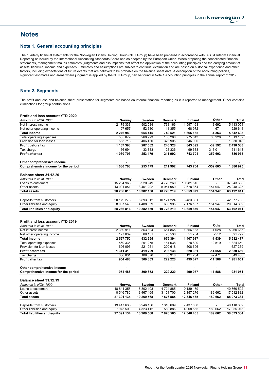## **Notes**

#### Note 1. General accounting principles

The quarterly financial statements for the Norwegian Finans Holding Group (NFH Group) have been prepared in accordance with IAS 34 Interim Financial Reporting as issued by the International Accounting Standards Board and as adopted by the European Union. When preparing the consolidated financial statements, management makes estimates, judgments and assumptions that affect the application of the accounting principles and the carrying amount of assets, liabilities, income and expenses. Estimates and assumptions are subject to continual evaluation and are based on historical experience and other factors, including expectations of future events that are believed to be probable on the balance sheet date. A description of the accounting policies, significant estimates and areas where judgment is applied by the NFH Group, can be found in Note 1 Accounting principles in the annual report of 2019.

#### Note 2. Segments

The profit and loss and balance sheet presentation for segments are based on internal financial reporting as it is reported to management. Other contains eliminations for group contributions.

#### Profit and loss account YTD 2020

| Amounts in NOK 1000                 | Norway                   | Sweden  | <b>Denmark</b> | <b>Finland</b> | Other          | Total      |
|-------------------------------------|--------------------------|---------|----------------|----------------|----------------|------------|
| Net interest income                 | 2 179 333                | 902 084 | 738 166        | 1 597 163      | $-3692$        | 5 413 054  |
| Net other operating income          | 97 657                   | 52 330  | 11 355         | 68 972         | $-671$         | 229 644    |
| <b>Total income</b>                 | 2 276 989                | 954 415 | 749 521        | 1666 135       | -4 3 6 3       | 5 642 698  |
| Total operating expenses            | 555 879                  | 260 923 | 185 288        | 275 843        | 35 2 28        | 1 313 162  |
| Provision for loan losses           | 553 713                  | 406 430 | 323 905        | 546 900        | $\blacksquare$ | 1830948    |
| <b>Profit before tax</b>            | 1 167 398                | 287 062 | 240 328        | 843 392        | -39 592        | 2 498 588  |
| Tax charge                          | 136 694                  | 33 883  | 28 336         | 99 688         | 313011         | 611 613    |
| <b>Profit after tax</b>             | 1 030 703                | 253 179 | 211992         | 743 704        | -352 603       | 1886975    |
| Other comprehensive income          | $\overline{\phantom{0}}$ | ۰       | -              | -              |                |            |
| Comprehensive income for the period | 1 030 703                | 253 179 | 211992         | 743 704        | -352 603       | 1886975    |
| Balance sheet 31.12.20              |                          |         |                |                |                |            |
| Amounts in NOK 1000                 | Norway                   | Sweden  | <b>Denmark</b> | <b>Finland</b> | Other          | Total      |
| Loans to customers                  | 15 264 965               | 6920949 | 4 776 260      | 10 981 515     | -              | 37 943 688 |

| Amounts in NOK 1000                 | Norway        | Sweden     | Denmark    | Finland    | Other   | Total      |
|-------------------------------------|---------------|------------|------------|------------|---------|------------|
| Loans to customers                  | 15 264 965    | 6920949    | 4 776 260  | 10 981 515 |         | 37 943 688 |
| Other assets                        | 13 001 851    | 3461202    | 5951959    | 2 678 364  | 154 947 | 25 248 323 |
| <b>Total assets</b>                 | 28 266 816    | 10 382 150 | 10 728 219 | 13 659 879 | 154 947 | 63 192 011 |
|                                     |               |            |            |            |         |            |
| Deposits from customers             | 20 179 276    | 5 893 512  | 10 121 224 | 6483691    | -       | 42 677 703 |
| Other liabilities and equity        | 8 0 8 7 5 4 0 | 4 488 639  | 606 995    | 7 176 187  | 154 947 | 20 514 309 |
| <b>Total liabilities and equity</b> | 28 266 816    | 10 382 150 | 10 728 219 | 13 659 879 | 154 947 | 63 192 011 |

#### Profit and loss account YTD 2019

Total liabilities and equity

| Amounts in NOK 1000                 | Norway     | Sweden     | Denmark        | <b>Finland</b> | Other    | Total      |
|-------------------------------------|------------|------------|----------------|----------------|----------|------------|
| Net interest income                 | 2 389 911  | 863 804    | 651865         | 356 133        | $-1028$  | 5 260 685  |
| Net other operating income          | 177839     | 69 151     | 23 530         | 51 784         | $-512$   | 321 792    |
| Total income                        | 2 567 750  | 932 955    | 675 394        | 1 407 917      | $-1539$  | 5 582 477  |
| Total operating expenses            | 560 336    | 291 275    | 181 638        | 278 890        | 12519    | 1 324 659  |
| Provision for loan losses           | 696 095    | 221 951    | 200 618        | 508 696        |          | 1627359    |
| <b>Profit before tax</b>            | 1 311 319  | 419 729    | 293 138        | 620 331        | -14 058  | 2 630 459  |
| Tax charge                          | 356 831    | 109 876    | 63918          | 121 254        | $-2471$  | 649 408    |
| <b>Profit after tax</b>             | 954 488    | 309 853    | 229 220        | 499 077        | -11 588  | 1981051    |
| Other comprehensive income          |            |            | -              |                |          |            |
| Comprehensive income for the period | 954 488    | 309 853    | 229 220        | 499 077        | $-11588$ | 1981051    |
| Balance sheet 31.12.19              |            |            |                |                |          |            |
| Amounts in NOK 1000                 | Norway     | Sweden     | <b>Denmark</b> | <b>Finland</b> | Other    | Total      |
| Loans to customers                  | 18 844 355 | 6 802 103  | 4724885        | 10 189 159     |          | 40 560 502 |
| Other assets                        | 8 546 780  | 3 467 465  | 3 151 700      | 2 157 276      | 189 662  | 17 512 882 |
| Total assets                        | 27 391 134 | 10 269 568 | 7876585        | 12 346 435     | 189 662  | 58 073 384 |
| Deposits from customers             | 19 417 635 | 5946156    | 7 316 699      | 7 437 880      | ۰        | 40 118 369 |
| Other liabilities and equity        | 7 973 500  | 4 323 412  | 559 886        | 4 908 555      | 189 662  | 17 955 015 |
| Total liabilities and equity        | 27 391 134 | 10 269 568 | 7876585        | 12 346 435     | 189 662  | 58 073 384 |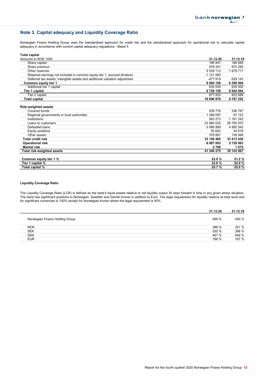## Note 3. Capital adequacy and Liquidity Coverage Ratio

Norwegian Finans Holding Group uses the standardized approach for credit risk and the standardized approach for operational risk to calculate capital adequacy in accordance with current capital adequacy regulations - Basel II.

| <b>Total capital</b>                                                       |               |            |
|----------------------------------------------------------------------------|---------------|------------|
| Amounts in NOK 1000                                                        | 31.12.20      | 31.12.19   |
| Share capital                                                              | 186 847       | 186 695    |
| Share premium                                                              | 978 201       | 972 295    |
| Other reserves                                                             | 9 528 112     | 7679717    |
| Retained earnings not included in common equity tier 1, accrued dividend   | $-1$ 121 083  |            |
| Deferred tax assets, intangible assets and additional valuation adjustment | $-477919$     | $-529$ 143 |
| Common equity tier 1                                                       | 9 0 9 4 1 5 8 | 8 309 564  |
| Additional tier 1 capital                                                  | 635 000       | 635 000    |
| Tier 1 capital                                                             | 9729158       | 8 944 564  |
| Tier 2 capital                                                             | 877 820       | 822 688    |
| <b>Total capital</b>                                                       | 10 606 978    | 9 767 252  |
| <b>Risk-weighted assets</b><br>Covered bonds                               | 939 778       | 336 787    |
| Regional governments or local authorities                                  | 1 269 097     | 87 123     |
| Institutions                                                               | 563 273       | 1 161 242  |
| Loans to customers                                                         | 23 960 025    | 26 750 970 |
| Defaulted loans                                                            | 5 996 989     | 4 892 542  |
| Equity positions                                                           | 50 642        | 44 818     |
| Other assets                                                               | 376 681       | 139 948    |
| <b>Total credit risk</b>                                                   | 33 156 485    | 33 413 430 |
| <b>Operational risk</b>                                                    | 8 087 003     | 5728063    |
| <b>Market risk</b>                                                         | 2788          | 1575       |
| Total risk-weighted assets                                                 | 41 246 275    | 39 143 067 |
| Common equity tier 1 %                                                     | 22.0%         | 21.2 %     |
| Tier 1 capital %                                                           | 23.6%         | 22.9%      |
| Total capital %                                                            | 25.7%         | 25.0%      |

#### Liquidity Coverage Ratio

The Liquidity Coverage Ratio (LCR) is defined as the bank's liquid assets relative to net liquidity output 30 days forward in time in any given stress situation. The bank has significant positions in Norwegian, Swedish and Danish kroner in addition to Euro. The legal requirement for liquidity reserve at total level and for significant currencies is 100% except for Norwegian kroner where the legal requirement is 50%.

|                                | 31.12.20 | 31.12.19 |
|--------------------------------|----------|----------|
| Norwegian Finans Holding Group | 569 %    | 450 %    |
| <b>NOK</b>                     | 389 %    | 321 %    |
| <b>SEK</b>                     | 530 %    | 396 %    |
| <b>DKK</b>                     | 467 %    | 649 %    |
| <b>EUR</b>                     | 169 %    | 167 %    |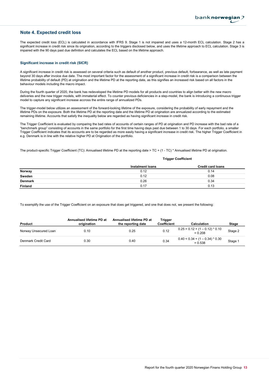### Note 4. Expected credit loss

The expected credit loss (ECL) is calculated in accordance with IFRS 9. Stage 1 is not impaired and uses a 12-month ECL calculation. Stage 2 has a significant increase in credit risk since its origination, according to the triggers disclosed below, and uses the lifetime approach to ECL calculation. Stage 3 is impaired with the 90 days past due definition and calculates the ECL based on the lifetime approach.

#### Significant increase in credit risk (SICR)

A significant increase in credit risk is assessed on several criteria such as default of another product, previous default, forbearance, as well as late payment beyond 30 days after invoice due date. The most important factor for the assessment of a significant increase in credit risk is a comparison between the lifetime probability of default (PD) at origination and the lifetime PD at the reporting date, as this signifies an increased risk based on all factors in the behaviour models including the macro impact.

During the fourth quarter of 2020, the bank has redeveloped the lifetime PD models for all products and countries to align better with the new macro deliveries and the new trigger models, with immaterial effect. To counter previous deficiencies in a step-model, the bank is introducing a continuous trigger model to capture any significant increase accross the entire range of annualized PDs.

The trigger-model below utilizes an assessment of the forward-looking lifetime of the exposure, considering the probability of early repayment and the lifetime PDs on the exposure. Both the lifetime PD at the reporting date and the lifetime PD at origination are annualized according to the estimated remaining lifetime. Accounts that satisfy the inequality below are regarded as having significant increase in credit risk.

The Trigger Coefficient is evaluated by comparing the bad rates of accounts of certain ranges of PD at origination and PD increase with the bad rate of a "benchmark group" consisting of accounts in the same portfolio for the first time having days past due between 1 to 30 days. For each portfolio, a smaller Trigger Coefficient indicates that its accounts are to be regarded as more easily having a significant increase in credit risk. The higher Trigger Coefficient in e.g. Denmark is in line with the relative higher PD at Origination of the portfolio.

The product-specific Trigger Coefficient (TC): Annualised lifetime PD at the reporting date > TC + (1 - TC) \* Annualised lifetime PD at origination.

Trigger Coefficient

|                | Instalment loans | <b>Credit card loans</b> |
|----------------|------------------|--------------------------|
| Norway         | 0.12             | 0.14                     |
| Sweden         | 0.12             | 0.08                     |
| <b>Denmark</b> | 0.26             | 0.34                     |
| <b>Finland</b> | 0.17             | 0.13                     |

To exemplify the use of the Trigger Coefficient on an exposure that does get triggered, and one that does not, we present the following:

| Product               | Annualised lifetime PD at<br>origination | Annualised lifetime PD at<br>the reporting date | Trigger<br><b>Coefficient</b> | Calculation                                    | <b>Stage</b> |
|-----------------------|------------------------------------------|-------------------------------------------------|-------------------------------|------------------------------------------------|--------------|
| Norway Unsecured Loan | 0.10                                     | 0.25                                            | 0.12                          | $0.25 > 0.12 + (1 - 0.12) * 0.10$<br>$= 0.208$ | Stage 2      |
| Denmark Credit Card   | 0.30                                     | 0.40                                            | 0.34                          | $0.40 < 0.34 + (1 - 0.34) * 0.30$<br>$= 0.538$ | Stage 1      |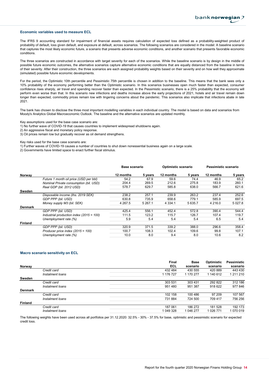#### Economic variables used to measure ECL

The IFRS 9 accounting standard for impairment of financial assets requires calculation of expected loss defined as a probability-weighted product of probability of default, loss given default, and exposure at default, across scenarios. The following scenarios are considered in the model: A baseline scenario that captures the most likely economic future, a scenario that presents adverse economic conditions, and another scenario that presents favorable economic conditions.

The three scenarios are constructed in accordance with target severity for each of the scenarios. While the baseline scenario is by design in the middle of possible future economic outcomes, the alternative scenarios capture alternative economic conditions that are equally distanced from the baseline in terms of their severity. After their construction, the three scenarios are each assigned probability weights based on their severity and on how well they approximate (simulated) possible future economic developments.

For the period, the Optimistic 10th percentile and Pessimistic 75th percentile is chosen in addition to the baseline. This means that the bank sees only a 10% probability of the economy performing better than the Optimistic scenario. In this scenarios businesses open much faster than expected, consumer confidence rises sharply, air travel and spending recover faster than expected. In the Pessimistic scenario, there is a 25% probability that the economy will perform even worse than that. In this scenario new infections and deaths increase above the early projections of 2021, hotels and air travel remain down longer than expected, commodity prices remain low with lingering concerns about the pandemic. This scenarios also implicate that infections abate in late 2021.

The bank has chosen to disclose the three most important modelling variables in each individual country. The model is based on data and scenarios from Moody's Analytics Global Macroeconomic Outlook. The baseline and the alternative scenarios are updated monthly.

Key assumptions used for the base case scenario are:

1) No further wave of COVID-19 that causes countries to implement widespread shutdowns again.

2) An aggressive fiscal and monetary policy response.

3) Oil prices remain low but gradually recover as oil demand strengthens.

Key risks used for the base case scenario are:

1) Further waves of COVID-19 causes a number of countries to shut down nonessential business again on a large scale.

2) Governments have limited space to enact further fiscal stimulus.

|                |                                            | Base scenario |         | Optimistic scenario |         | Pessimistic scenario |          |
|----------------|--------------------------------------------|---------------|---------|---------------------|---------|----------------------|----------|
| Norway         |                                            | 12 months     | 5 years | 12 months           | 5 years | 12 months            | 5 years  |
|                | Future 1 month oil price (USD per bbl)     | 54.2          | 67.9    | 59.6                | 74.4    | 46.9                 | 65.2     |
|                | Nominal Private consumption (bil. USD)     | 204.4         | 269.5   | 212.6               | 275.8   | 183.9                | 260.1    |
|                | Real GDP (bil. 2012 USD)                   | 578.7         | 629.7   | 585.8               | 638.0   | 566.7                | 621.6    |
| Sweden         |                                            |               |         |                     |         |                      |          |
|                | Disposable income (ths. 2019 SEK)          | 238.2         | 257.1   | 239.9               | 263.2   | 237.4                | 252.6    |
|                | GDP PPP (bil. USD)                         | 630.8         | 735.9   | 658.6               | 779.1   | 585.9                | 697.5    |
|                | Money supply M3 (bil. SEK)                 | 4 2 6 7 .5    | 5 267.1 | 4 3 3 4 . 1         | 5 635.7 | 4 2 1 6 .0           | 5 0 27.8 |
| <b>Denmark</b> |                                            |               |         |                     |         |                      |          |
|                | GDP PPP (bil. USD)                         | 425.4         | 556.1   | 452.4               | 572.8   | 390.4                | 544.4    |
|                | Industrial production index $(2015 = 100)$ | 111.5         | 123.2   | 115.7               | 126.7   | 107.4                | 119.7    |
|                | Unemployment rate (%)                      | 5.9           | 5.4     | 5.4                 | 5.4     | 6.5                  | 5.4      |
| <b>Finland</b> |                                            |               |         |                     |         |                      |          |
|                | GDP PPP (bil. USD)                         | 320.9         | 371.5   | 339.2               | 388.0   | 296.6                | 358.4    |
|                | Producer price index $(2015 = 100)$        | 100.7         | 108.3   | 102.4               | 109.6   | 99.8                 | 107.1    |
|                | Unemployment rate (%)                      | 10.0          | 8.0     | 9.4                 | 8.0     | 10.6                 | 8.2      |

#### Macro scenario sensitivity on ECL

|                |                  | Final     | <b>Base</b> | Optimistic | Pessimistic |  |
|----------------|------------------|-----------|-------------|------------|-------------|--|
| Norway         |                  | ECL       | scenario    | scenario   | scenario    |  |
|                | Credit card      | 432 484   | 430 555     | 420 889    | 443 430     |  |
|                | Instalment loans | 1 176 727 | 1 170 277   | 1 140 612  | 1 211 210   |  |
| Sweden         |                  |           |             |            |             |  |
|                | Credit card      | 303 531   | 303 431     | 292 822    | 312 186     |  |
|                | Instalment Ioans | 951 480   | 951 387     | 918 622    | 977 846     |  |
| <b>Denmark</b> |                  |           |             |            |             |  |
|                | Credit card      | 102 158   | 100 486     | 97 209     | 107 567     |  |
|                | Instalment loans | 731884    | 724 500     | 709 417    | 756 256     |  |
| <b>Finland</b> |                  |           |             |            |             |  |
|                | Credit card      | 187 061   | 186 272     | 181 528    | 192 173     |  |
|                | Instalment loans | 1 049 328 | 1 046 277   | 1 026 771  | 1070019     |  |

The following weights have been used across all portfolios per 31.12.2020: 32.5% - 30% - 37.5% for base, optimistic and pessimistic scenario for expected credit loss.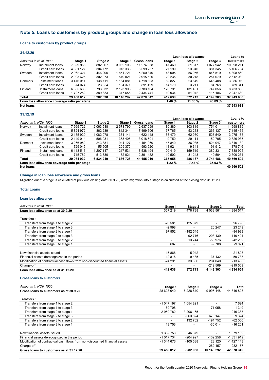## Note 5. Loans to customers by product groups and change in loan loss allowance

#### Loans to customers by product groups

#### 31.12.20

|                  |                                              |            |           |            |                    | Loan loss allowance |         |           | Loans to   |
|------------------|----------------------------------------------|------------|-----------|------------|--------------------|---------------------|---------|-----------|------------|
|                  | Amounts in NOK 1000                          | Stage 1    | Stage 2   | Stage 3    | <b>Gross loans</b> | Stage 1             | Stage 2 | Stage 3   | customers  |
| Norway           | Instalment loans                             | 7 329 966  | 882 867   | 3 062 106  | 11 274 938         | 47 469              | 51 317  | 077 942   | 10 098 211 |
|                  | Credit card loans                            | 4 381 127  | 304 772   | 913 338    | 5 599 237          | 27 199              | 23 940  | 381 345   | 5 166 754  |
| Sweden           | Instalment loans                             | 2 962 324  | 446 295   | 1 851 721  | 5 260 340          | 48 005              | 56 956  | 846 519   | 4 308 860  |
|                  | Credit card loans                            | 2 093 625  | 302 973   | 519021     | 2915620            | 22 2 35             | 30 218  | 251 079   | 2612089    |
| Denmark          | Instalment loans                             | 3416011    | 138 711   | 1 164 081  | 4 718 803          | 62 827              | 23 649  | 645 408   | 3 986 919  |
|                  | Credit card loans                            | 674 074    | 23 054    | 194 371    | 891 499            | 14 179              | 3 2 1 1 | 84 768    | 789 341    |
| Finland          | Instalment loans                             | 6865633    | 793 532   | 2 123 998  | 9 783 164          | 170 791             | 131 481 | 747 056   | 8 733 835  |
|                  | Credit card loans                            | 1 727 252  | 389 833   | 317 656    | 2 434 741          | 19 9 34             | 51 942  | 115 186   | 2 247 680  |
| Total            |                                              | 29 450 012 | 3 282 038 | 10 146 292 | 42 878 342         | 412 638             | 372 713 | 4 149 303 | 37 943 688 |
|                  | Loan loss allowance coverage ratio per stage |            |           |            |                    | 1.40 $%$            | 11.36 % | 40.89 %   |            |
| <b>Net loans</b> |                                              |            |           |            |                    |                     |         |           | 37 943 688 |

#### 31.12.19

|                  |                                              |            |           |           |               |         | Loan loss allowance |           | Loans to   |
|------------------|----------------------------------------------|------------|-----------|-----------|---------------|---------|---------------------|-----------|------------|
|                  | Amounts in NOK 1000                          | Stage 1    | Stage 2   | Stage 3   | Gross Ioans   | Stage 1 | Stage 2             | Stage 3   | customers  |
| Norway           | Instalment loans                             | 7 999 722  | 2 063 588 | 2 573 790 | 12 637 099    | 80 380  | 103819              | 754 011   | 11 698 889 |
|                  | Credit card loans                            | 5824972    | 862 289   | 812 344   | 7499606       | 37 765  | 53 238              | 263 137   | 7 145 466  |
| Sweden           | Instalment loans                             | 2 185 929  | 1 082 078 | 354 141   | 4 622 148     | 55 4 79 | 62 960              | 528 540   | 3 975 168  |
|                  | Credit card loans                            | 2 149 014  | 506 081   | 363 405   | 3 018 501     | 9750    | 29 111              | 152 705   | 2826935    |
| Denmark          | Instalment loans                             | 3 266 952  | 243 881   | 944 127   | 4 4 5 4 9 6 0 | 47 840  | 36 935              | 524 047   | 3 846 139  |
|                  | Credit card loans                            | 729 045    | 55 505    | 209 370   | 993 920       | 13921   | 9 3 4 1             | 91 912    | 878 746    |
| Finland          | Instalment loans                             | 6 113 516  | 1 207 147 | 1 217 531 | 8 538 194     | 109 419 | 159 519             | 380 331   | 7888925    |
|                  | Credit card loans                            | 1715782    | 513 680   | 162 021   | 2 391 482     | 10 502  | 31 243              | 49 504    | 2 300 234  |
| Total            |                                              | 29 984 932 | 6 534 249 | 7 636 728 | 44 155 910    | 365 055 | 486 167             | 2 744 186 | 40 560 502 |
|                  | Loan loss allowance coverage ratio per stage |            |           |           |               | 1.22%   | 7.44 %              | 35.93 %   |            |
| <b>Net loans</b> |                                              |            |           |           |               |         |                     |           | 40 560 502 |

#### Change in loan loss allowance and gross loans

Migration out of a stage is calculated at previous closing date 30.9.20, while migration into a stage is calculated at the closing date 31.12.20.

#### Total Loans

#### Loan loss allowance

| Amounts in NOK 1000                                                         | Stage 1                  | Stage 2   | Stage 3        | Total         |
|-----------------------------------------------------------------------------|--------------------------|-----------|----------------|---------------|
| Loan loss allowance as at 30.9.20                                           | 367 219                  | 478 738   | 4 038 561      | 4 8 8 4 5 1 7 |
| Transfers:                                                                  |                          |           |                |               |
| Transfers from stage 1 to stage 2                                           | $-28581$                 | 125 379   | $\blacksquare$ | 96 798        |
| Transfers from stage 1 to stage 3                                           | $-2998$                  |           | 26 247         | 23 249        |
| Transfers from stage 2 to stage 1                                           | 97 552                   | $-182545$ |                | $-84993$      |
| Transfers from stage 2 to stage 3                                           | $\blacksquare$           | $-92716$  | 203 139        | 110 424       |
| Transfers from stage 3 to stage 2                                           | $\overline{\phantom{a}}$ | 13744     | -55 976        | -42 232       |
| Transfers from stage 3 to stage 1                                           | 687                      |           | -9 708         | -9 021        |
| New financial assets issued                                                 | 15866                    | 5942      |                | 21 808        |
| Financial assets derecognized in the period                                 | $-12816$                 | -9 485    | $-37432$       | -59 733       |
| Modification of contractual cash flows from non-discounted financial assets | $-24291$                 | 33 656    | 204 040        | 213 405       |
| Charge-off                                                                  | ۰                        |           | $-219.569$     | $-219569$     |
| Loan loss allowance as at 31.12.20                                          | 412 638                  | 372 713   | 4 149 303      | 4 934 654     |

#### Gross loans to customers

| Amounts in NOK 1000                                                         | Stage 1                  | Stage 2     | Stage 3                  | Total      |
|-----------------------------------------------------------------------------|--------------------------|-------------|--------------------------|------------|
| Gross loans to customers as at 30.9.20                                      | 28 623 040               | 6 228 640   | 9 9 9 5 1 4 8            | 44 846 828 |
| Transfers:                                                                  |                          |             |                          |            |
| Transfers from stage 1 to stage 2                                           | $-1047197$               | 1 0 54 8 21 | ۰                        | 7624       |
| Transfers from stage 1 to stage 3                                           | -69 708                  | ۰           | 71 058                   | 1 3 4 9    |
| Transfers from stage 2 to stage 1                                           | 2959782                  | -3 206 165  | ۰                        | $-246383$  |
| Transfers from stage 2 to stage 3                                           | $\blacksquare$           | $-663824$   | 673 147                  | 9 3 2 4    |
| Transfers from stage 3 to stage 2                                           | ۰.                       | 132 702     | -194 752                 | $-62050$   |
| Transfers from stage 3 to stage 1                                           | 13753                    |             | $-30014$                 | $-16261$   |
| New financial assets issued                                                 | 1 332 753                | 46 379      | $\overline{\phantom{a}}$ | 1 379 132  |
| Financial assets derecognized in the period                                 | -1 017 734               | -204 927    | $-109258$                | -1331919   |
| Modification of contractual cash flows from non-discounted financial assets | -1 344 676               | $-105588$   | 23 120                   | $-1427143$ |
| Charge-off                                                                  | $\overline{\phantom{a}}$ |             | $-282$ 157               | $-282$ 157 |
| Gross loans to customers as at 31.12.20                                     | 29 450 012               | 3 282 038   | 10 146 292               | 42 878 342 |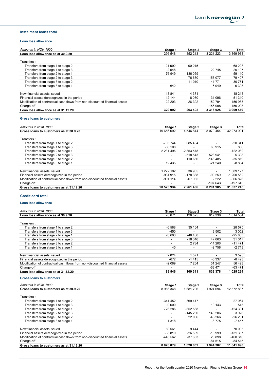#### Instalment loans total

#### Loan loss allowance

| Amounts in NOK 1000                                                         | Stage 1                  | Stage 2   | Stage 3       | Total     |
|-----------------------------------------------------------------------------|--------------------------|-----------|---------------|-----------|
| Loan loss allowance as at 30.9.20                                           | 296 548                  | 352 213   | 3 2 2 1 2 2 3 | 3 869 983 |
| Transfers:                                                                  |                          |           |               |           |
| Transfers from stage 1 to stage 2                                           | -21 992                  | 90 215    | ۰             | 68 223    |
| Transfers from stage 1 to stage 3                                           | $-2548$                  |           | 22 745        | 20 197    |
| Transfers from stage 2 to stage 1                                           | 76 949                   | $-136059$ |               | $-59110$  |
| Transfers from stage 2 to stage 3                                           | $\overline{\phantom{a}}$ | -76 670   | 156 077       | 79 407    |
| Transfers from stage 3 to stage 2                                           | $\overline{\phantom{0}}$ | 11 010    | $-41771$      | -30 761   |
| Transfers from stage 3 to stage 1                                           | 642                      |           | $-6949$       | $-6308$   |
| New financial assets issued                                                 | 13841                    | 4 3 7 1   |               | 18 213    |
| Financial assets derecognized in the period                                 | $-12144$                 | -8 070    | $-31096$      | $-51310$  |
| Modification of contractual cash flows from non-discounted financial assets | $-22203$                 | 26 392    | 152 794       | 156 983   |
| Charge-off                                                                  | $\overline{\phantom{a}}$ | ۰.        | $-156098$     | $-156098$ |
| Loan loss allowance as at 31.12.20                                          | 329 092                  | 263 402   | 3 3 1 6 9 2 5 | 3 909 419 |

#### Gross loans to customers

| Amounts in NOK 1000                                                         | Stage 1                  | Stage 2     | Stage 3                  | Total      |
|-----------------------------------------------------------------------------|--------------------------|-------------|--------------------------|------------|
| Gross loans to customers as at 30.9.20                                      | 19 656 692               | 4 546 844   | 8 070 454                | 32 273 991 |
| Transfers:                                                                  |                          |             |                          |            |
| Transfers from stage 1 to stage 2                                           | -705 744                 | 685 404     |                          | $-20.341$  |
| Transfers from stage 1 to stage 3                                           | $-60,108$                | ۰           | 60 915                   | 806        |
| Transfers from stage 2 to stage 1                                           | 2 2 3 1 4 9 6            | -2 353 578  |                          | $-122082$  |
| Transfers from stage 2 to stage 3                                           | $\overline{\phantom{a}}$ | $-518543$   | 523 941                  | 5 3 9 8    |
| Transfers from stage 3 to stage 2                                           | -                        | 110 666     | -146 485                 | $-35819$   |
| Transfers from stage 3 to stage 1                                           | 12 4 3 5                 | ۰           | $-21240$                 | -8 804     |
|                                                                             |                          |             |                          |            |
| New financial assets issued                                                 | 1 272 192                | 36 935      | $\overline{\phantom{0}}$ | 1 309 127  |
| Financial assets derecognized in the period                                 | $-931915$                | -178 388    | $-90259$                 | $-1200562$ |
| Modification of contractual cash flows from non-discounted financial assets | $-901114$                | $-67935$    | 2 2 2 2                  | $-966826$  |
| Charge-off                                                                  | $\overline{\phantom{a}}$ | ۰           | -197 643                 | -197 643   |
| Gross loans to customers as at 31.12.20                                     | 20 573 934               | 2 2 61 4 06 | 8 201 905                | 31 037 245 |

#### Credit card total

#### Loan loss allowance

| Amounts in NOK 1000                                                         | Stage 1                  | Stage 2  | Stage 3  | <b>Total</b> |
|-----------------------------------------------------------------------------|--------------------------|----------|----------|--------------|
| Loan loss allowance as at 30.9.20                                           | 70 671                   | 126 525  | 817338   | 1 0 14 5 34  |
| Transfers:                                                                  |                          |          |          |              |
| Transfers from stage 1 to stage 2                                           | $-6588$                  | 35 164   | ۰.       | 28 575       |
| Transfers from stage 1 to stage 3                                           | $-450$                   |          | 3 5 0 2  | 3 0 5 2      |
| Transfers from stage 2 to stage 1                                           | 20 603                   | -46 486  |          | -25 883      |
| Transfers from stage 2 to stage 3                                           | $\overline{\phantom{a}}$ | $-16046$ | 47 063   | 31 017       |
| Transfers from stage 3 to stage 2                                           | $\overline{\phantom{a}}$ | 2 7 3 4  | $-14206$ | $-11471$     |
| Transfers from stage 3 to stage 1                                           | 45                       | ۰        | $-2758$  | $-2713$      |
| New financial assets issued                                                 | 2024                     | 1571     |          | 3 5 9 5      |
| Financial assets derecognized in the period                                 | $-672$                   | $-1415$  | $-6.337$ | -8 423       |
| Modification of contractual cash flows from non-discounted financial assets | $-2089$                  | 7 2 6 4  | 51 247   | 56 423       |
| Charge-off                                                                  | $\overline{\phantom{a}}$ | ۰        | $-63471$ | $-63471$     |
| Loan loss allowance as at 31.12.20                                          | 83 546                   | 109 311  | 832 378  | 1 025 234    |

#### Gross loans to customers

| Amounts in NOK 1000                                                         | Stage 1        | Stage 2   | Stage 3  | Total      |
|-----------------------------------------------------------------------------|----------------|-----------|----------|------------|
| Gross loans to customers as at 30.9.20                                      | 8 966 348      | 1681796   | 924 694  | 12 572 837 |
| Transfers:                                                                  |                |           |          |            |
| Transfers from stage 1 to stage 2                                           | -341 452       | 369 417   |          | 27 964     |
| Transfers from stage 1 to stage 3                                           | $-9600$        |           | 10 143   | 543        |
| Transfers from stage 2 to stage 1                                           | 728 286        | $-852588$ | ۰        | $-124301$  |
| Transfers from stage 2 to stage 3                                           | $\blacksquare$ | -145 280  | 149 206  | 3926       |
| Transfers from stage 3 to stage 2                                           | $\blacksquare$ | 22 036    | $-48266$ | -26 231    |
| Transfers from stage 3 to stage 1                                           | 1 3 1 8        |           | $-8775$  | -7457      |
| New financial assets issued                                                 | 60 561         | 9444      | ۰        | 70 005     |
| Financial assets derecognized in the period                                 | $-85819$       | $-26539$  | $-18999$ | -131 357   |
| Modification of contractual cash flows from non-discounted financial assets | -443 562       | -37 653   | 20 898   | $-460316$  |
| Charge-off                                                                  | -              |           | $-84515$ | $-84515$   |
| Gross loans to customers as at 31.12.20                                     | 8876079        | 1 020 632 | 944 387  | 11 841 098 |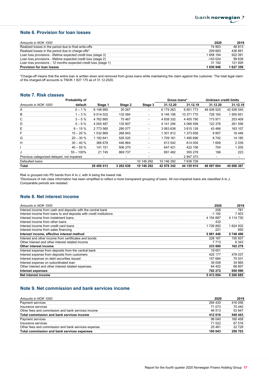## Note 6. Provision for loan losses

| Amounts in NOK 1000                                             | 2020      | 2019      |
|-----------------------------------------------------------------|-----------|-----------|
| Realized losses in the period due to final write-offs           | 74 903    | 46 813    |
| Realized losses in the period due to charge-offs*               | 209 683   | 436891    |
| Loan loss provisions - lifetime expected credit loss (stage 3)  | 1 658 194 | 922 091   |
| Loan loss provisions - lifetime expected credit loss (stage 2)  | $-143024$ | 99 639    |
| Loan loss provisions - 12 months expected credit loss (stage 1) | 31 192    | 121 926   |
| <b>Provision for loan losses</b>                                | 1830948   | 1 627 359 |

\*Charge-off means that the entire loan is written down and removed from gross loans while maintaining the claim against the customer. The total legal claim of the charged-off accounts is TNOK 1 827 175 as of 31.12.2020.

## Note 7. Risk classes

|                                            | Probability of |             |                          |                          | Gross Ioans*             |               | <b>Undrawn credit limits</b> |            |
|--------------------------------------------|----------------|-------------|--------------------------|--------------------------|--------------------------|---------------|------------------------------|------------|
| Amounts in NOK 1000                        | default        | Stage 1     | Stage 2                  | Stage 3                  | 31.12.20                 | 31.12.19      | 31.12.20                     | 31.12.19   |
| A                                          | $0 - 1%$       | 6 148 995   | 30 267                   | $\overline{\phantom{0}}$ | 6 179 263                | 6851773       | 48 008 525                   | 42 938 545 |
| В                                          | $1 - 3%$       | 9 0 14 0 22 | 132 084                  | $\overline{\phantom{a}}$ | 9 146 106                | 10 371 775    | 728 160                      | 955 651    |
| C                                          | $3 - 5\%$      | 4762865     | 75 467                   | $\overline{\phantom{a}}$ | 4 838 332                | 4 4 0 5 7 9 0 | 173 971                      | 253 409    |
| D                                          | $5 - 9%$       | 4 005 487   | 135 807                  | $\overline{\phantom{0}}$ | 4 141 294                | 4 066 599     | 122 376                      | 261 556    |
| Е                                          | $9 - 15%$      | 2 773 560   | 290 077                  | ۰.                       | 3 063 638                | 3 615 128     | 43 4 66                      | 163 107    |
| F                                          | $15 - 20%$     | 1 032 869   | 268 943                  | $\blacksquare$           | 1 301 812                | 1 373 658     | 9857                         | 16 446     |
| G                                          | $20 - 30 \%$   | 1 182 641   | 526 520                  | $\overline{\phantom{0}}$ | 1709 161                 | 1495696       | 8742                         | 14 185     |
| н                                          | $30 - 40%$     | 366 678     | 446 864                  |                          | 813 542                  | 614 004       | 1 609                        | 2 0 3 9    |
|                                            | $40 - 55%$     | 141 151     | 506 270                  |                          | 647 421                  | 422 106       | 704                          | 1 2 0 5    |
| J                                          | $55 - 100\%$   | 21 745      | 869 737                  |                          | 891 482                  | 355 278       | 196                          | 223        |
| Previous categorized delayed, not impaired |                | ٠           | $\overline{\phantom{a}}$ |                          | $\overline{\phantom{a}}$ | 2 947 373     | $\overline{\phantom{a}}$     |            |
| Defaulted loans                            |                |             | ٠                        | 10 146 292               | 10 146 292               | 7 636 728     |                              |            |
| Total                                      |                | 29 450 013  | 3 282 038                | 10 146 292               | 42 878 342               | 44 155 910    | 49 097 604                   | 45 606 367 |

Risk is grouped into PD bands from A to J, with A being the lowest risk.

\*Disclosure of risk class information has been simplified to reflect a more transparent grouping of loans. All non-impaired loans are classified A to J. Comparable periods are restated.

#### Note 8. Net interest income

| Amounts in NOK 1000                                                 | 2020      | 2019      |
|---------------------------------------------------------------------|-----------|-----------|
| Interest income from cash and deposits with the central bank        | 206       | 781       |
| Interest income from loans to and deposits with credit institutions | $-1192$   | 7403      |
| Interest income from instalment loans                               | 4 154 887 | 4 114 730 |
| Interest income from other loans                                    | 432       |           |
| Interest income from credit card loans                              | 1726892   | 1624932   |
| Interest income from sales financing                                | 221       | 650       |
| Interest income, effective interest method                          | 5 881 446 | 5748496   |
| Interest and other income from certificates and bonds               | 226 167   | 155 937   |
| Other interest and other interest related income                    | 7 7 1 3   | 6 3 4 3   |
| Other interest income                                               | 233880    | 162 279   |
| Interest expense from deposits from the central bank                | 19 001    |           |
| Interest expense from deposits from customers                       | 425 177   | 478 037   |
| Interest expense on debt securities issued                          | 157 684   | 70 531    |
| Interest expense on subordinated loan                               | 36 008    | 34 665    |
| Other interest and other interest related expenses                  | 64 402    | 66 857    |
| <b>Interest expenses</b>                                            | 702 272   | 650 090   |
| Net interest income                                                 | 5413054   | 5 260 685 |

### Note 9. Net commission and bank services income

| Amounts in NOK 1000                                 | 2020    | 2019    |
|-----------------------------------------------------|---------|---------|
| Payment services                                    | 294 430 | 416 056 |
| Insurance services                                  | 71 073  | 70 440  |
| Other fees and commission and bank services income  | 46 513  | 53 947  |
| Total commission and bank services income           | 412016  | 540 443 |
| Payment services                                    | 98 040  | 160 458 |
| Insurance services                                  | 71 522  | 67 516  |
| Other fees and commission and bank services expense | 25481   | 22729   |
| Total commission and bank services expenses         | 195 043 | 250 703 |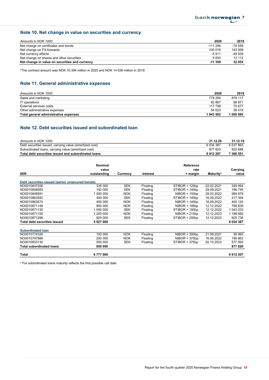## Note 10. Net change in value on securities and currency

| Amounts in NOK 1000                            | 2020      | 2019    |
|------------------------------------------------|-----------|---------|
| Net change on certificates and bonds           | $-111296$ | -74 558 |
| Net change on FX-forwards                      | 100 018   | 143 008 |
| Net currency effects                           | $-5911$   | -49 509 |
| Net change on shares and other securities      | 5830      | 13 112  |
| Net change in value on securities and currency | $-11359$  | 32 053  |

\*The contract amount was NOK 10 394 million in 2020 and NOK 14 636 million in 2019.

## Note 11. General administrative expenses

| Amounts in NOK 1000                   | 2020      | 2019      |
|---------------------------------------|-----------|-----------|
| Sales and marketing                   | 778 294   | 879 117   |
| IT operations                         | 92867     | 88 871    |
| External services costs               | 117 798   | 70 677    |
| Other administrative expenses         | 54 623    | 56 419    |
| Total general administrative expenses | 1 043 582 | l 095 085 |

### Note 12. Debt securities issued and subordinated loan

| Amounts in NOK 1000                                     | 31.12.20  | 31.12.19  |
|---------------------------------------------------------|-----------|-----------|
| Debt securities issued, carrying value (amortized cost) | 6 034 387 | 6 537 863 |
| Subordinated loans, carrying value (amortized cost)     | 877820    | 822 688   |
| Total debt securities issued and subordinated loans     | 6912207   | 7 360 551 |

|                                                 | Nominal              |            |                 | Reference        |            |                   |
|-------------------------------------------------|----------------------|------------|-----------------|------------------|------------|-------------------|
| <b>ISIN</b>                                     | value<br>outstanding | Currency   | <b>Interest</b> | rate<br>+ margin | Maturity*  | Carrying<br>value |
|                                                 |                      |            |                 |                  |            |                   |
| Debt securities issued (senior unsecured bonds) |                      |            |                 |                  |            |                   |
| NO0010837206                                    | 335 000              | <b>SEK</b> | Floating        | STIBOR + 120bp   | 22.02.2021 | 349 954           |
| NO0010848583                                    | 192 000              | <b>SEK</b> | Floating        | STIBOR + 140bp   | 29.09.2021 | 198 745           |
| NO0010848591                                    | 1 000 000            | <b>NOK</b> | Floating        | $NIBOR + 150bp$  | 29.03.2022 | 999 879           |
| NO0010863582                                    | 400 000              | <b>SEK</b> | Floating        | STIBOR + 140bp   | 16.09.2022 | 417 394           |
| NO0010863574                                    | 400 000              | <b>NOK</b> | Floating        | $NIBOR + 140bp$  | 16.09.2022 | 400 124           |
| NO0010871148                                    | 800 000              | <b>NOK</b> | Floating        | $NIBOR + 195bp$  | 12.12.2022 | 799 839           |
| NO0010871130                                    | 1 000 000            | <b>SEK</b> | Floating        | STIBOR + 190bp   | 12.12.2022 | 1 043 033         |
| NO0010871155                                    | 1 200 000            | <b>NOK</b> | Floating        | $NIBOR + 215bp$  | 12.12.2023 | 1 199 682         |
| NO0010871296                                    | 600 000              | <b>SEK</b> | Floating        | STIBOR + 200bp   | 12.12.2023 | 625 738           |
| <b>Total debt securities issued</b>             | 5927000              |            |                 |                  |            | 6 034 387         |
| <b>Subordinated loan</b>                        |                      |            |                 |                  |            |                   |
| NO0010774326                                    | 100 000              | <b>NOK</b> | Floating        | $NIBOR + 300bp$  | 21.09.2021 | 99 965            |
| NO0010797988                                    | 200 000              | <b>NOK</b> | Floating        | $NIBOR + 375bp$  | 16.06.2022 | 199 863           |
| NO0010833130                                    | 550 000              | <b>SEK</b> | Floating        | STIBOR + 375bp   | 02.10.2023 | 577 993           |
| <b>Total subordinated loans</b>                 | 850 000              |            |                 |                  |            | 877 820           |
| Total                                           | 6777000              |            |                 |                  |            | 6912207           |

\* For subordinated loans maturity reflects the first possible call date.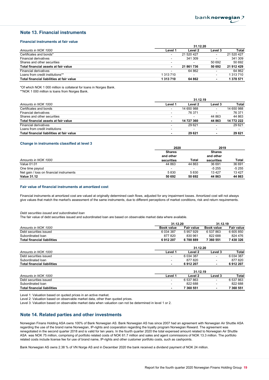#### Note 13. Financial instruments

#### Financial instruments at fair value

|                                           | 31.12.20                 |            |                          |            |  |
|-------------------------------------------|--------------------------|------------|--------------------------|------------|--|
| Amounts in NOK 1000                       | Level 1                  | Level 2    | Level 3                  | Total      |  |
| Certificates and bonds*                   | $\overline{\phantom{0}}$ | 21 520 427 | -                        | 21 520 427 |  |
| Financial derivatives                     |                          | 341 309    |                          | 341 309    |  |
| Shares and other securities               | $\overline{\phantom{a}}$ |            | 50 692                   | 50 692     |  |
| Total financial assets at fair value      | $\blacksquare$           | 21 861 736 | 50 692                   | 21 912 429 |  |
| <b>Financial derivatives</b>              | $\overline{\phantom{a}}$ | 64 862     | $\overline{\phantom{a}}$ | 64 862     |  |
| Loans from credit institutions**          | 1 313 710                |            | ۰.                       | 1 313 710  |  |
| Total financial liabilities at fair value | 1 313 710                | 64 862     | $\blacksquare$           | 1 378 571  |  |

\*Of which NOK 1 000 million is collateral for loans in Norges Bank. \*\*NOK 1 000 million is loans from Norges Bank.

|                                           |                          | 31.12.19       |                          |            |
|-------------------------------------------|--------------------------|----------------|--------------------------|------------|
| Amounts in NOK 1000                       | Level 1                  | Level 2        | Level 3                  | Total      |
| Certificates and bonds                    | $\overline{\phantom{a}}$ | 14 650 988     | $\overline{\phantom{a}}$ | 14 650 988 |
| Financial derivatives                     | $\overline{\phantom{a}}$ | 76 371         | -                        | 76 371     |
| Shares and other securities               | $\overline{\phantom{a}}$ | $\blacksquare$ | 44 863                   | 44 863     |
| Total financial assets at fair value      | $\sim$                   | 14 727 360     | 44 863                   | 14 772 222 |
| <b>Financial derivatives</b>              | $\overline{\phantom{a}}$ | 29 621         |                          | 29 6 21    |
| Loans from credit institutions            | $\overline{\phantom{0}}$ |                | $\overline{\phantom{a}}$ |            |
| Total financial liabilities at fair value | $\blacksquare$           | 29 621         | $\blacksquare$           | 29 621     |

#### Change in instruments classified at level 3

|                                          | 2020          |        | 2019          |         |
|------------------------------------------|---------------|--------|---------------|---------|
|                                          | <b>Shares</b> |        | <b>Shares</b> |         |
|                                          | and other     |        | and other     |         |
| Amounts in NOK 1000                      | securities    | Total  | securities    | Total   |
| Value 01.01                              | 44 863        | 44 863 | 36 691        | 36 691  |
| One time payout                          | -             |        | -5 255        | $-5255$ |
| Net gain / loss on financial instruments | 5830          | 5830   | 13427         | 13 4 27 |
| <b>Value 31.12</b>                       | 50 692        | 50 692 | 44 863        | 44 863  |

#### Fair value of financial instruments at amortized cost

Financial instruments at amortized cost are valued at originally determined cash flows, adjusted for any impairment losses. Amortized cost will not always give values that match the market's assessment of the same instruments, due to different perceptions of market conditions, risk and return requirements.

#### Debt securities issued and subordinated loan

The fair value of debt securities issued and subordinated loan are based on observable market data where available.

|                                    | 31.12.20          |                   | 31.12.19          |              |  |
|------------------------------------|-------------------|-------------------|-------------------|--------------|--|
| Amounts in NOK 1000                | <b>Book value</b> | <b>Fair value</b> | <b>Book value</b> | Fair value   |  |
| Debt securities issued             | 6 0 34 3 8 7      | 5 957 929         | 6 537 863         | 6 605 850    |  |
| Subordinated loan                  | 877820            | 830 961           | 822 688           | 824 476      |  |
| <b>Total financial liabilities</b> | 6912207           | 6788889           | 7 360 551         | 7 430 326    |  |
|                                    |                   | 31.12.20          |                   |              |  |
| Amounts in NOK 1000                | Level 1           | Level 2           | Level 3           | <b>Total</b> |  |
| Debt securities issued             | -                 | 6 0 34 387        |                   | 6 0 34 387   |  |
| Subordinated Ioan                  | -                 | 877820            |                   | 877820       |  |
| <b>Total financial liabilities</b> | ۰                 | 6912207           | ٠                 | 6912207      |  |
|                                    |                   | 0.11010           |                   |              |  |

|                                    | 31.14.19                 |           |         |           |
|------------------------------------|--------------------------|-----------|---------|-----------|
| Amounts in NOK 1000                | Level                    | Level 2   | Level 3 | Total     |
| Debt securities issued             | -                        | 6 537 863 | -       | 6 537 863 |
| Subordinated loan                  | $\overline{\phantom{0}}$ | 822 688   | -       | 822 688   |
| <b>Total financial liabilities</b> | $\overline{\phantom{0}}$ | 7 360 551 |         | 7 360 551 |

Level 1: Valuation based on quoted prices in an active market.

Level 2: Valuation based on observable market data, other than quoted prices.

Level 3: Valuation based on observable market data when valuation can not be determined in level 1 or 2.

#### Note 14. Related parties and other investments

Norwegian Finans Holding ASA owns 100% of Bank Norwegian AS. Bank Norwegian AS has since 2007 had an agreement with Norwegian Air Shuttle ASA regarding the use of the brand name Norwegian, IP-rights and cooperation regarding the loyalty program Norwegian Reward. The agreement was renegotiated in the second quarter 2018 and is valid for ten years. In the fourth quarter 2020 the total expensed amount related to Norwegian Air Shuttle ASA was NOK 75 million, comprising of portfolio related costs of NOK 61.7 million and sales and agent commissions of NOK 13.3 million. The portfolio related costs include license fee for use of brand name, IP-rights and other customer portfolio costs, such as cashpoints.

Bank Norwegian AS owns 2.38 % of VN Norge AS and in December 2020 the bank received a dividend payment of NOK 24 million.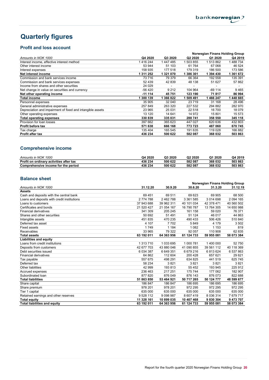## Quarterly figures

## Profit and loss account

|                                                            |           |         | Norwegian Finans Holding Group |           |         |  |
|------------------------------------------------------------|-----------|---------|--------------------------------|-----------|---------|--|
| Amounts in NOK 1000                                        | Q4 2020   | Q3 2020 | Q <sub>2</sub> 2020            | Q1 2020   | Q4 2019 |  |
| Interest income, effective interest method                 | 1416244   | 1447485 | 503 855                        | 513862    | 488 734 |  |
| Other interest income                                      | 53 944    | 51 103  | 61 764                         | 67 068    | 46 524  |  |
| Interest expenses                                          | 158 935   | 177 518 | 179 319                        | 186 500   | 173 586 |  |
| Net interest income                                        | 1 311 252 | 1321070 | 386 301                        | 394 430   | 361 672 |  |
| Commission and bank services income                        | 73716     | 79 379  | 66 364                         | 192 558   | 135 391 |  |
| Commission and bank services expenses                      | 52 439    | 42 839  | 48 138                         | 51 627    | 57 862  |  |
| Income from shares and other securities                    | 24 0 29   |         |                                |           |         |  |
| Net change in value on securities and currency             | -56 420   | 9 2 1 2 | 104 964                        | $-69$ 114 | 9465    |  |
| Net other operating income                                 | $-11114$  | 45751   | 123 190                        | 71817     | 86 994  |  |
| <b>Total income</b>                                        | 300 139   | 366822  | 509 491                        | 466 247   | 448 665 |  |
| Personnel expenses                                         | 35 905    | 32 040  | 23 7 19                        | 31 168    | 28 4 96 |  |
| General administrative expenses                            | 257 849   | 263 320 | 227 532                        | 294 882   | 282 970 |  |
| Depreciation and impairment of fixed and intangible assets | 23 965    | 25 031  | 22 518                         | 16 700    | 18 079  |  |
| Other operating expenses                                   | 13 120    | 14 641  | 14 972                         | 15 801    | 15 573  |  |
| Total operating expenses                                   | 330 839   | 335 031 | 288 741                        | 358 550   | 345 118 |  |
| Provision for loan losses                                  | 397 662   | 365 623 | 447 027                        | 620 636   | 432 803 |  |
| Profit before tax                                          | 571 638   | 666 168 | 773 723                        | 487 060   | 670 745 |  |
| Tax charge                                                 | 135 404   | 165 545 | 191 635                        | 119 028   | 166 882 |  |
| <b>Profit after tax</b>                                    | 436 234   | 500 622 | 582 087                        | 368 032   | 503 863 |  |

## Comprehensive income

| 1000<br>Amounts in NOK                  | Q4 2020 | Q3 2020 | Q <sub>2</sub> 2020 | 2020<br><b>Q1</b> | Q4 2019 |
|-----------------------------------------|---------|---------|---------------------|-------------------|---------|
| Profit on ordinary activities after tax | 436 234 | 500 622 | 582 087             | 368 032           | 503863  |
| Comprehensive income for the period     | 436 234 | 500 622 | 582 087             | 368 032           | 503 863 |

### Balance sheet

| <b>Dalallud Sulgat</b>                      |            |            |            |                                |            |
|---------------------------------------------|------------|------------|------------|--------------------------------|------------|
|                                             |            |            |            | Norwegian Finans Holding Group |            |
| Amounts in NOK 1000                         | 31.12.20   | 30.9.20    | 30.6.20    | 31.3.20                        | 31.12.19   |
| <b>Assets</b>                               |            |            |            |                                |            |
| Cash and deposits with the central bank     | 69 451     | 69 511     | 69 623     | 69 905                         | 68 500     |
| Loans and deposits with credit institutions | 2774788    | 2462788    | 3 361 585  | 3014698                        | 2 094 165  |
| Loans to customers                          | 37 943 688 | 39 962 311 | 40 101 034 | 42 378 471                     | 40 560 502 |
| Certificates and bonds                      | 21 520 427 | 21 054 167 | 16 790 787 | 13 764 305                     | 14 650 988 |
| <b>Financial derivatives</b>                | 341 309    | 205 245    | 161 158    | 59 0 20                        | 76 371     |
| Shares and other securities                 | 50 692     | 51 491     | 51 124     | 46 017                         | 44 863     |
| Intangible assets                           | 451 835    | 470 235    | 490 433    | 506 426                        | 510 840    |
| Deferred tax asset                          | 4 107      | 7702       | 5849       | 4 1 7 9                        | 3 5 0 2    |
| <b>Fixed assets</b>                         | 1749       | 1 1 8 4    | 1 0 8 2    | 1 1 5 3                        | 819        |
| Receivables                                 | 33 965     | 79 322     | 92 057     | 110 908                        | 62 835     |
| <b>Total assets</b>                         | 63 192 011 | 64 363 956 | 61 124 733 | 59 955 081                     | 58 073 384 |
| <b>Liabilities and equity</b>               |            |            |            |                                |            |
| Loans from credit institutions              | 1 313 710  | 1033695    | 1 000 781  | 1 400 000                      | 52 750     |
| Deposits from customers                     | 42 677 703 | 43 880 046 | 41 090 855 | 39 561 112                     | 40 118 369 |
| Debt securities issued                      | 6 034 387  | 6649351    | 6679216    | 6813624                        | 6 537 863  |
| <b>Financial derivatives</b>                | 64 862     | 112 604    | 200 428    | 657 621                        | 29 621     |
| Tax payable                                 | 557 675    | 498 291    | 634 825    | 441 519                        | 625 745    |
| Deferred tax                                | 58 234     | 3821       | 3821       | 3821                           | 3821       |
| <b>Other liabilities</b>                    | 42 999     | 193 813    | 55 4 52    | 193 945                        | 225 912    |
| Accrued expenses                            | 236 463    | 217 251    | 175 744    | 177 062                        | 182 907    |
| Subordinated Ioan                           | 877 820    | 876 049    | 876 143    | 876 073                        | 822 688    |
| <b>Total liabilities</b>                    | 51 863 850 | 53 464 921 | 50 717 265 | 50 124 777                     | 48 599 677 |
| Share capital                               | 186 847    | 186 847    | 186 695    | 186 695                        | 186 695    |
| Share premium                               | 978 201    | 978 201    | 972 295    | 972 295                        | 972 295    |
| Tier 1 capital                              | 635 000    | 635 000    | 635 000    | 635 000                        | 635 000    |
| Retained earnings and other reserves        | 9 528 112  | 9098987    | 8 607 419  | 8 0 3 6 3 1 4                  | 7679717    |
| <b>Total equity</b>                         | 11 328 161 | 10 899 035 | 10 407 468 | 9830304                        | 9 473 707  |
| <b>Total liabilities and equity</b>         | 63 192 011 | 64 363 956 | 61 124 733 | 59 955 081                     | 58 073 384 |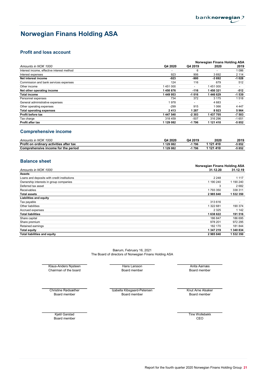## Norwegian Finans Holding ASA

## Profit and loss account

|                                            |           | Norwegian Finans Holding ASA |           |                          |
|--------------------------------------------|-----------|------------------------------|-----------|--------------------------|
| Amounts in NOK 1000                        | Q4 2020   | Q4 2019                      | 2020      | 2019                     |
| Interest income, effective interest method |           | 6                            |           | 1086                     |
| Interest expenses                          | 923       | 906                          | 3692      | 2 1 1 4                  |
| Net interest income                        | $-923$    | -900                         | $-3692$   | $-1028$                  |
| Commission and bank services expenses      | 124       | 116                          | 679       | 512                      |
| Other income                               | 1451000   | $\overline{\phantom{a}}$     | 1451000   | $\overline{\phantom{a}}$ |
| Net other operating income                 | 1450876   | $-116$                       | 1450321   | -512                     |
| <b>Total income</b>                        | 1449953   | $-1016$                      | 1446629   | $-1539$                  |
| Personnel expenses                         | 734       | 372                          | 3 1 7 5   | 1518                     |
| General administrative expenses            | 1978      | $\overline{a}$               | 4683      |                          |
| Other operating expenses                   | $-299$    | 915                          | 1066      | 4 4 4 7                  |
| <b>Total operating expenses</b>            | 2413      | 1 287                        | 8923      | 5964                     |
| Profit before tax                          | 1 447 540 | $-2303$                      | 1437705   | $-7503$                  |
| Tax charge                                 | 318 459   | $-507$                       | 316 296   | $-1651$                  |
| <b>Profit after tax</b>                    | 1 129 082 | $-1796$                      | 1 121 410 | $-5852$                  |

### Comprehensive income

| 1000<br>Amounts in NOK                       | Q4 2020 | Q4 2019 | 2020    | 2019   |
|----------------------------------------------|---------|---------|---------|--------|
| Profit<br>t on ordinarv activities after tax | 129 082 | 796     | 121 410 | -5 852 |
| Comprehensive income for the period          | 129 082 | 796     | 121410  | -5 852 |

### Balance sheet

|                                             | Norwegian Finans Holding ASA |           |  |
|---------------------------------------------|------------------------------|-----------|--|
| Amounts in NOK 1000                         | 31.12.20                     | 31.12.19  |  |
| <b>Assets</b>                               |                              |           |  |
| Loans and deposits with credit institutions | 2 2 4 8                      | 1 1 1 7   |  |
| Ownership interests in group companies      | 1 190 240                    | 1 190 240 |  |
| Deferred tax asset                          | 3                            | 2682      |  |
| <b>Receivables</b>                          | 1793350                      | 338 311   |  |
| <b>Total assets</b>                         | 2985840                      | 1 532 350 |  |
| <b>Liabilities and equity</b>               |                              |           |  |
| Tax payable                                 | 313 616                      |           |  |
| Other liabilities                           | 1 322 681                    | 190 374   |  |
| Accrued expenses                            | 2 3 2 5                      | 1 142     |  |
| <b>Total liabilities</b>                    | 1638622                      | 191 516   |  |
| Share capital                               | 186 847                      | 186 695   |  |
| Share premium                               | 978 201                      | 972 295   |  |
| Retained earnings                           | 182 170                      | 181 844   |  |
| <b>Total equity</b>                         | 1 347 219                    | 1 340 834 |  |
| <b>Total liabilities and equity</b>         | 2985840                      | 1 532 350 |  |

The Board of directors of Norwegian Finans Holding ASA Bærum, February 16, 2021

Klaus-Anders Nysteen **Hans Larsson Hans Larsson Anita Aarnæs** Chairman of the board **Board member** Board member Board member Board member Board member

Christine Rødsæther **Izabella Kibsgaard-Petersen** Knut Arne Alsaker Board member Board member Board member

Board member CEO Kjetil Garstad Time Wollebekk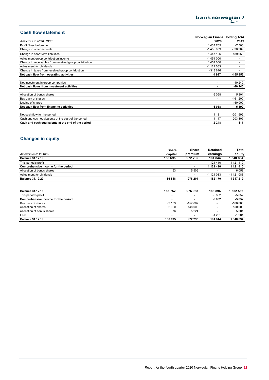

## Cash flow statement

|                                                        | Norwegian Finans Holding ASA |           |  |  |
|--------------------------------------------------------|------------------------------|-----------|--|--|
| Amounts in NOK 1000                                    | 2020                         | 2019      |  |  |
| Profit / loss before tax                               | 1 437 705                    | $-7503$   |  |  |
| Change in other accruals                               | -1455039                     | -338 309  |  |  |
| Change in short-term liabilities                       | 1447106                      | 189 959   |  |  |
| Adjustment group contribution income                   | $-1451000$                   |           |  |  |
| Change in receivables from received group contribution | 1451000                      |           |  |  |
| Adjustment for dividends                               | $-1$ 121 083                 |           |  |  |
| Change in taxes from received group contribution       | $-313616$                    |           |  |  |
| Net cash flow from operating activities                | -4927                        | $-155853$ |  |  |
|                                                        |                              |           |  |  |
| Net investment in group companies                      | $\overline{\phantom{a}}$     | -40 240   |  |  |
| Net cash flows from investment activities              |                              | $-40240$  |  |  |
|                                                        |                              |           |  |  |
| Allocation of bonus shares                             | 6058                         | 5 3 0 1   |  |  |
| Buy back of shares                                     |                              | $-161200$ |  |  |
| Issuing of shares                                      |                              | 150 000   |  |  |
| Net cash flow from financing activities                | 6058                         | -5899     |  |  |
|                                                        |                              |           |  |  |
| Net cash flow for the period                           | 1 1 3 1                      | $-201992$ |  |  |
| Cash and cash equivalents at the start of the period   | 1 1 1 7                      | 203 109   |  |  |
| Cash and cash equivalents at the end of the period     | 2 2 4 8                      | 1 1 1 7   |  |  |

## Changes in equity

|                                     | <b>Share</b> | Share   | Retained   | Total        |
|-------------------------------------|--------------|---------|------------|--------------|
| Amounts in NOK 1000                 | capital      | premium | earnings   | equity       |
| <b>Balance 31.12.19</b>             | 186 695      | 972 295 | 181844     | 340 834      |
| This period's profit                | -            | -       | 1 121 410  | 1 121 410    |
| Comprehensive income for the period | -            |         | 1 121 410  | 1 121 410    |
| Allocation of bonus shares          | 153          | 5906    |            | 6058         |
| Adjustment for dividends            | -            | ٠       | -1 121 083 | $-1$ 121 083 |
| <b>Balance 31.12.20</b>             | 186 848      | 978 201 | 182 170    | 1 347 219    |

| <b>Balance 31.12.18</b>             | 186752                   | 976938                   | 188896                   | 1 352 586 |
|-------------------------------------|--------------------------|--------------------------|--------------------------|-----------|
| This period's profit                | $\overline{\phantom{a}}$ | $\overline{\phantom{a}}$ | $-5852$                  | -5 852    |
| Comprehensive income for the period | $\overline{\phantom{a}}$ | $\overline{\phantom{a}}$ | $-5852$                  | -5 852    |
| Buy back of shares                  | $-2133$                  | $-157867$                | $\overline{\phantom{a}}$ | $-160000$ |
| Allocation of shares                | 2 0 0 0                  | 148 000                  | -                        | 150 000   |
| Allocation of bonus shares          | 76                       | 5 2 2 4                  |                          | 5 3 0 1   |
| Fees                                | $\overline{\phantom{a}}$ | $\overline{\phantom{a}}$ | $-1201$                  | $-1201$   |
| <b>Balance 31.12.19</b>             | 186 695                  | 972 295                  | 181844                   | 340 834   |